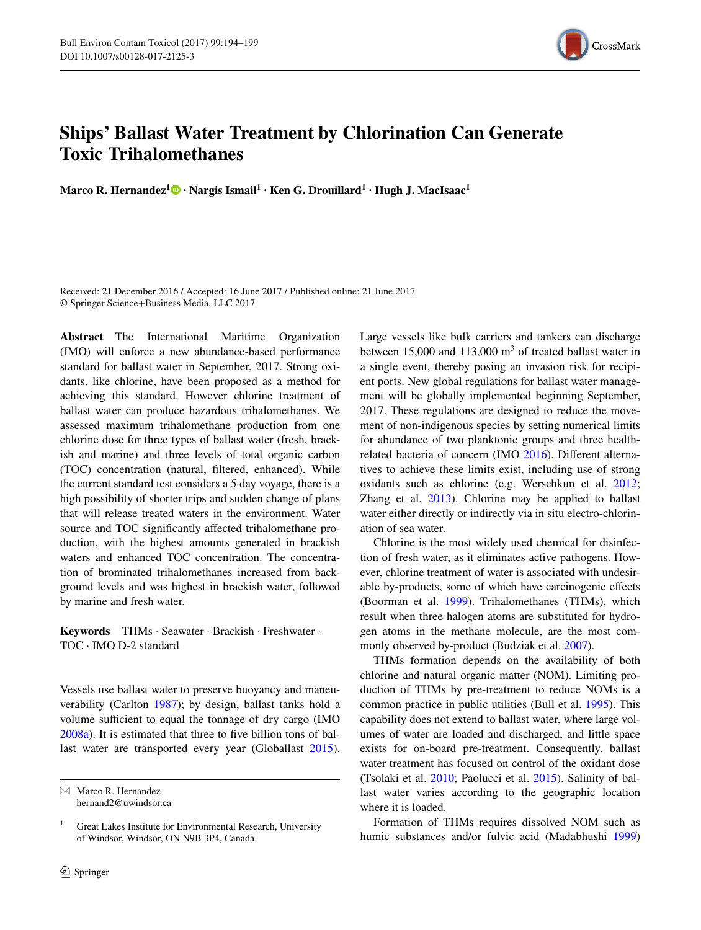

## **Ships' Ballast Water Treatment by Chlorination Can Generate Toxic Trihalomethanes**

**Marco R. Hernandez[1](http://orcid.org/0000-0002-1712-0338) · Nargis Ismail1 · Ken G. Drouillard1 · Hugh J. MacIsaac1**

Received: 21 December 2016 / Accepted: 16 June 2017 / Published online: 21 June 2017 © Springer Science+Business Media, LLC 2017

**Abstract** The International Maritime Organization (IMO) will enforce a new abundance-based performance standard for ballast water in September, 2017. Strong oxidants, like chlorine, have been proposed as a method for achieving this standard. However chlorine treatment of ballast water can produce hazardous trihalomethanes. We assessed maximum trihalomethane production from one chlorine dose for three types of ballast water (fresh, brackish and marine) and three levels of total organic carbon (TOC) concentration (natural, filtered, enhanced). While the current standard test considers a 5 day voyage, there is a high possibility of shorter trips and sudden change of plans that will release treated waters in the environment. Water source and TOC significantly affected trihalomethane production, with the highest amounts generated in brackish waters and enhanced TOC concentration. The concentration of brominated trihalomethanes increased from background levels and was highest in brackish water, followed by marine and fresh water.

**Keywords** THMs · Seawater · Brackish · Freshwater · TOC · IMO D-2 standard

Vessels use ballast water to preserve buoyancy and maneuverability (Carlton [1987\)](#page-5-8); by design, ballast tanks hold a volume sufficient to equal the tonnage of dry cargo (IMO [2008a](#page-5-9)). It is estimated that three to five billion tons of ballast water are transported every year (Globallast [2015](#page-5-10)).

 $\boxtimes$  Marco R. Hernandez hernand2@uwindsor.ca Large vessels like bulk carriers and tankers can discharge between 15,000 and 113,000  $m<sup>3</sup>$  of treated ballast water in a single event, thereby posing an invasion risk for recipient ports. New global regulations for ballast water management will be globally implemented beginning September, 2017. These regulations are designed to reduce the movement of non-indigenous species by setting numerical limits for abundance of two planktonic groups and three healthrelated bacteria of concern (IMO [2016\)](#page-5-0). Different alternatives to achieve these limits exist, including use of strong oxidants such as chlorine (e.g. Werschkun et al. [2012](#page-5-1); Zhang et al.  $2013$ ). Chlorine may be applied to ballast water either directly or indirectly via in situ electro-chlorination of sea water.

Chlorine is the most widely used chemical for disinfection of fresh water, as it eliminates active pathogens. However, chlorine treatment of water is associated with undesirable by-products, some of which have carcinogenic effects (Boorman et al. [1999\)](#page-4-0). Trihalomethanes (THMs), which result when three halogen atoms are substituted for hydrogen atoms in the methane molecule, are the most commonly observed by-product (Budziak et al. [2007\)](#page-5-3).

THMs formation depends on the availability of both chlorine and natural organic matter (NOM). Limiting production of THMs by pre-treatment to reduce NOMs is a common practice in public utilities (Bull et al. [1995\)](#page-5-4). This capability does not extend to ballast water, where large volumes of water are loaded and discharged, and little space exists for on-board pre-treatment. Consequently, ballast water treatment has focused on control of the oxidant dose (Tsolaki et al. [2010](#page-5-5); Paolucci et al. [2015](#page-5-6)). Salinity of ballast water varies according to the geographic location where it is loaded.

Formation of THMs requires dissolved NOM such as humic substances and/or fulvic acid (Madabhushi [1999\)](#page-5-7)

<sup>&</sup>lt;sup>1</sup> Great Lakes Institute for Environmental Research, University of Windsor, Windsor, ON N9B 3P4, Canada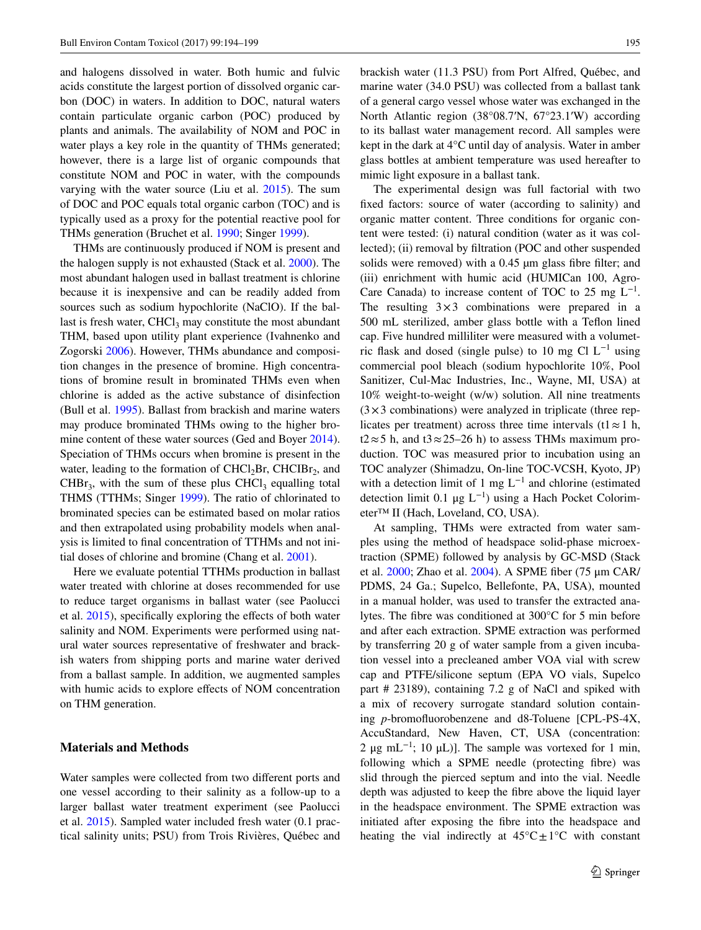and halogens dissolved in water. Both humic and fulvic acids constitute the largest portion of dissolved organic carbon (DOC) in waters. In addition to DOC, natural waters contain particulate organic carbon (POC) produced by plants and animals. The availability of NOM and POC in water plays a key role in the quantity of THMs generated; however, there is a large list of organic compounds that constitute NOM and POC in water, with the compounds varying with the water source (Liu et al. [2015\)](#page-5-11). The sum of DOC and POC equals total organic carbon (TOC) and is typically used as a proxy for the potential reactive pool for THMs generation (Bruchet et al. [1990;](#page-4-1) Singer [1999](#page-5-12)).

THMs are continuously produced if NOM is present and the halogen supply is not exhausted (Stack et al. [2000](#page-5-13)). The most abundant halogen used in ballast treatment is chlorine because it is inexpensive and can be readily added from sources such as sodium hypochlorite (NaClO). If the ballast is fresh water,  $CHCl<sub>3</sub>$  may constitute the most abundant THM, based upon utility plant experience (Ivahnenko and Zogorski [2006](#page-5-14)). However, THMs abundance and composition changes in the presence of bromine. High concentrations of bromine result in brominated THMs even when chlorine is added as the active substance of disinfection (Bull et al. [1995](#page-5-4)). Ballast from brackish and marine waters may produce brominated THMs owing to the higher bro-mine content of these water sources (Ged and Boyer [2014](#page-5-15)). Speciation of THMs occurs when bromine is present in the water, leading to the formation of  $CHCl<sub>2</sub>Br$ ,  $CHClBr<sub>2</sub>$ , and CHBr<sub>3</sub>, with the sum of these plus CHCl<sub>3</sub> equalling total THMS (TTHMs; Singer [1999\)](#page-5-12). The ratio of chlorinated to brominated species can be estimated based on molar ratios and then extrapolated using probability models when analysis is limited to final concentration of TTHMs and not initial doses of chlorine and bromine (Chang et al. [2001\)](#page-5-16).

Here we evaluate potential TTHMs production in ballast water treated with chlorine at doses recommended for use to reduce target organisms in ballast water (see Paolucci et al. [2015\)](#page-5-6), specifically exploring the effects of both water salinity and NOM. Experiments were performed using natural water sources representative of freshwater and brackish waters from shipping ports and marine water derived from a ballast sample. In addition, we augmented samples with humic acids to explore effects of NOM concentration on THM generation.

## **Materials and Methods**

Water samples were collected from two different ports and one vessel according to their salinity as a follow-up to a larger ballast water treatment experiment (see Paolucci et al. [2015\)](#page-5-6). Sampled water included fresh water (0.1 practical salinity units; PSU) from Trois Rivières, Québec and brackish water (11.3 PSU) from Port Alfred, Québec, and marine water (34.0 PSU) was collected from a ballast tank of a general cargo vessel whose water was exchanged in the North Atlantic region (38°08.7′N, 67°23.1′W) according to its ballast water management record. All samples were kept in the dark at 4°C until day of analysis. Water in amber glass bottles at ambient temperature was used hereafter to mimic light exposure in a ballast tank.

The experimental design was full factorial with two fixed factors: source of water (according to salinity) and organic matter content. Three conditions for organic content were tested: (i) natural condition (water as it was collected); (ii) removal by filtration (POC and other suspended solids were removed) with a 0.45  $\mu$ m glass fibre filter; and (iii) enrichment with humic acid (HUMICan 100, Agro-Care Canada) to increase content of TOC to 25 mg  $L^{-1}$ . The resulting  $3\times3$  combinations were prepared in a 500 mL sterilized, amber glass bottle with a Teflon lined cap. Five hundred milliliter were measured with a volumetric flask and dosed (single pulse) to 10 mg  $Cl L^{-1}$  using commercial pool bleach (sodium hypochlorite 10%, Pool Sanitizer, Cul-Mac Industries, Inc., Wayne, MI, USA) at 10% weight-to-weight (w/w) solution. All nine treatments  $(3\times3$  combinations) were analyzed in triplicate (three replicates per treatment) across three time intervals (t1  $\approx$  1 h, t2≈5 h, and t3≈25–26 h) to assess THMs maximum production. TOC was measured prior to incubation using an TOC analyzer (Shimadzu, On-line TOC-VCSH, Kyoto, JP) with a detection limit of 1 mg  $L^{-1}$  and chlorine (estimated detection limit 0.1 μg L−1) using a Hach Pocket Colorimeter™ II (Hach, Loveland, CO, USA).

At sampling, THMs were extracted from water samples using the method of headspace solid-phase microextraction (SPME) followed by analysis by GC-MSD (Stack et al. [2000;](#page-5-13) Zhao et al. [2004](#page-5-17)). A SPME fiber (75 μm CAR/ PDMS, 24 Ga.; Supelco, Bellefonte, PA, USA), mounted in a manual holder, was used to transfer the extracted analytes. The fibre was conditioned at 300°C for 5 min before and after each extraction. SPME extraction was performed by transferring 20 g of water sample from a given incubation vessel into a precleaned amber VOA vial with screw cap and PTFE/silicone septum (EPA VO vials, Supelco part # 23189), containing 7.2 g of NaCl and spiked with a mix of recovery surrogate standard solution containing *p*-bromofluorobenzene and d8-Toluene [CPL-PS-4X, AccuStandard, New Haven, CT, USA (concentration: 2 μg mL<sup>-1</sup>; 10 μL)]. The sample was vortexed for 1 min, following which a SPME needle (protecting fibre) was slid through the pierced septum and into the vial. Needle depth was adjusted to keep the fibre above the liquid layer in the headspace environment. The SPME extraction was initiated after exposing the fibre into the headspace and heating the vial indirectly at  $45^{\circ}C \pm 1^{\circ}C$  with constant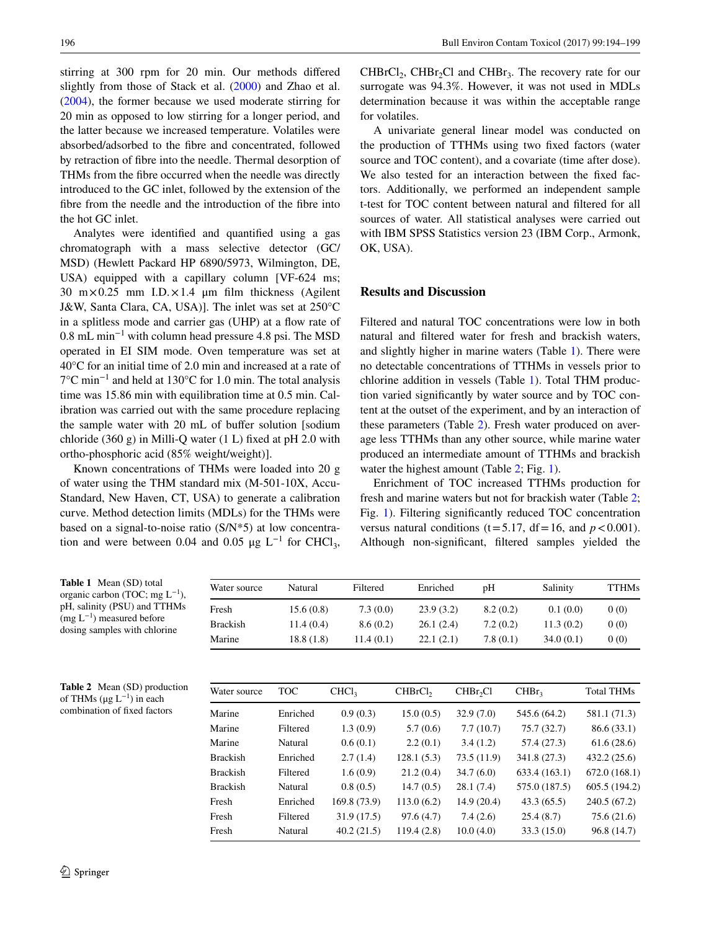stirring at 300 rpm for 20 min. Our methods differed slightly from those of Stack et al. ([2000\)](#page-5-13) and Zhao et al. [\(2004](#page-5-17)), the former because we used moderate stirring for 20 min as opposed to low stirring for a longer period, and the latter because we increased temperature. Volatiles were absorbed/adsorbed to the fibre and concentrated, followed by retraction of fibre into the needle. Thermal desorption of THMs from the fibre occurred when the needle was directly introduced to the GC inlet, followed by the extension of the fibre from the needle and the introduction of the fibre into the hot GC inlet.

Analytes were identified and quantified using a gas chromatograph with a mass selective detector (GC/ MSD) (Hewlett Packard HP 6890/5973, Wilmington, DE, USA) equipped with a capillary column [VF-624 ms; 30  $m \times 0.25$  mm I.D. $\times 1.4$  µm film thickness (Agilent J&W, Santa Clara, CA, USA)]. The inlet was set at 250°C in a splitless mode and carrier gas (UHP) at a flow rate of 0.8 mL min−1 with column head pressure 4.8 psi. The MSD operated in EI SIM mode. Oven temperature was set at 40°C for an initial time of 2.0 min and increased at a rate of 7°C min−1 and held at 130°C for 1.0 min. The total analysis time was 15.86 min with equilibration time at 0.5 min. Calibration was carried out with the same procedure replacing the sample water with 20 mL of buffer solution [sodium chloride  $(360 \text{ g})$  in Milli-Q water  $(1 \text{ L})$  fixed at pH 2.0 with ortho-phosphoric acid (85% weight/weight)].

Known concentrations of THMs were loaded into 20 g of water using the THM standard mix (M-501-10X, Accu-Standard, New Haven, CT, USA) to generate a calibration curve. Method detection limits (MDLs) for the THMs were based on a signal-to-noise ratio (S/N\*5) at low concentration and were between 0.04 and 0.05  $\mu$ g L<sup>-1</sup> for CHCl<sub>3</sub>,

 $CHBrCl<sub>2</sub>$ ,  $CHBr<sub>2</sub>Cl$  and  $CHBr<sub>3</sub>$ . The recovery rate for our surrogate was 94.3%. However, it was not used in MDLs determination because it was within the acceptable range for volatiles.

A univariate general linear model was conducted on the production of TTHMs using two fixed factors (water source and TOC content), and a covariate (time after dose). We also tested for an interaction between the fixed factors. Additionally, we performed an independent sample t-test for TOC content between natural and filtered for all sources of water. All statistical analyses were carried out with IBM SPSS Statistics version 23 (IBM Corp., Armonk, OK, USA).

## **Results and Discussion**

Filtered and natural TOC concentrations were low in both natural and filtered water for fresh and brackish waters, and slightly higher in marine waters (Table [1\)](#page-2-0). There were no detectable concentrations of TTHMs in vessels prior to chlorine addition in vessels (Table [1\)](#page-2-0). Total THM production varied significantly by water source and by TOC content at the outset of the experiment, and by an interaction of these parameters (Table [2](#page-2-1)). Fresh water produced on average less TTHMs than any other source, while marine water produced an intermediate amount of TTHMs and brackish water the highest amount (Table [2](#page-2-1); Fig. [1\)](#page-3-0).

Enrichment of TOC increased TTHMs production for fresh and marine waters but not for brackish water (Table [2](#page-2-1); Fig. [1\)](#page-3-0). Filtering significantly reduced TOC concentration versus natural conditions ( $t=5.17$ ,  $df=16$ , and  $p < 0.001$ ). Although non-significant, filtered samples yielded the

<span id="page-2-1"></span><span id="page-2-0"></span>

| <b>Table 1</b> Mean (SD) total<br>organic carbon (TOC; mg $L^{-1}$ ),<br>pH, salinity (PSU) and TTHMs<br>$(mg L^{-1})$ measured before<br>dosing samples with chlorine | Water source    | Natural    | Filtered          | Enriched            | pH                   | Salinity          | <b>TTHMs</b>      |
|------------------------------------------------------------------------------------------------------------------------------------------------------------------------|-----------------|------------|-------------------|---------------------|----------------------|-------------------|-------------------|
|                                                                                                                                                                        | Fresh           | 15.6(0.8)  | 7.3(0.0)          | 23.9(3.2)           | 8.2(0.2)             | 0.1(0.0)          | 0(0)              |
|                                                                                                                                                                        | <b>Brackish</b> | 11.4(0.4)  | 8.6(0.2)          | 26.1(2.4)           | 7.2(0.2)             | 11.3(0.2)         | 0(0)              |
|                                                                                                                                                                        | Marine          | 18.8(1.8)  | 11.4(0.1)         | 22.1(2.1)           | 7.8(0.1)             | 34.0(0.1)         | 0(0)              |
|                                                                                                                                                                        |                 |            |                   |                     |                      |                   |                   |
| <b>Table 2</b> Mean (SD) production<br>of THMs ( $\mu$ g L <sup>-1</sup> ) in each<br>combination of fixed factors                                                     | Water source    | <b>TOC</b> | CHCl <sub>3</sub> | CHBrCl <sub>2</sub> | CHBr <sub>2</sub> Cl | CHBr <sub>3</sub> | <b>Total THMs</b> |
|                                                                                                                                                                        | Marine          | Enriched   | 0.9(0.3)          | 15.0(0.5)           | 32.9(7.0)            | 545.6 (64.2)      | 581.1 (71.3)      |
|                                                                                                                                                                        | Marine          | Filtered   | 1.3(0.9)          | 5.7(0.6)            | 7.7(10.7)            | 75.7(32.7)        | 86.6 (33.1)       |
|                                                                                                                                                                        | Marine          | Natural    | 0.6(0.1)          | 2.2(0.1)            | 3.4(1.2)             | 57.4 (27.3)       | 61.6(28.6)        |
|                                                                                                                                                                        | <b>Brackish</b> | Enriched   | 2.7(1.4)          | 128.1(5.3)          | 73.5 (11.9)          | 341.8 (27.3)      | 432.2(25.6)       |
|                                                                                                                                                                        | <b>Brackish</b> | Filtered   | 1.6(0.9)          | 21.2(0.4)           | 34.7(6.0)            | 633.4(163.1)      | 672.0(168.1)      |
|                                                                                                                                                                        | <b>Brackish</b> | Natural    | 0.8(0.5)          | 14.7(0.5)           | 28.1(7.4)            | 575.0 (187.5)     | 605.5 (194.2)     |
|                                                                                                                                                                        | Fresh           | Enriched   | 169.8 (73.9)      | 113.0(6.2)          | 14.9(20.4)           | 43.3(65.5)        | 240.5 (67.2)      |
|                                                                                                                                                                        | Fresh           | Filtered   | 31.9(17.5)        | 97.6(4.7)           | 7.4(2.6)             | 25.4(8.7)         | 75.6(21.6)        |
|                                                                                                                                                                        | Fresh           | Natural    | 40.2(21.5)        | 119.4(2.8)          | 10.0(4.0)            | 33.3 (15.0)       | 96.8 (14.7)       |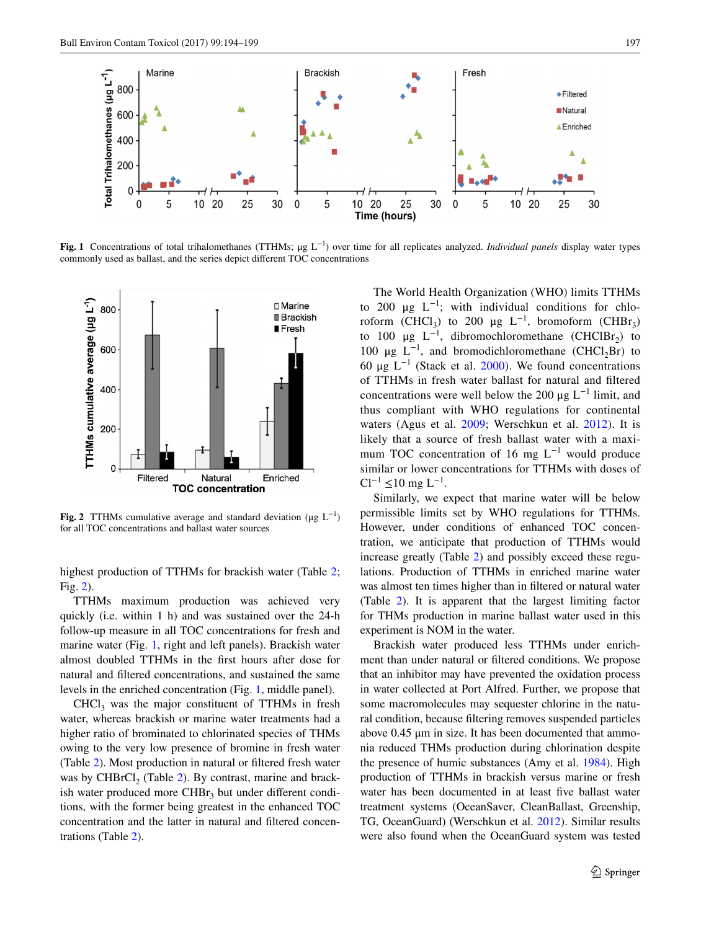

<span id="page-3-0"></span>**Fig. 1** Concentrations of total trihalomethanes (TTHMs; μg L−1) over time for all replicates analyzed. *Individual panels* display water types commonly used as ballast, and the series depict different TOC concentrations



<span id="page-3-1"></span>**Fig. 2 TTHMs** cumulative average and standard deviation ( $\mu$ g  $L^{-1}$ ) for all TOC concentrations and ballast water sources

highest production of TTHMs for brackish water (Table [2](#page-2-1); Fig. [2](#page-3-1)).

TTHMs maximum production was achieved very quickly (i.e. within 1 h) and was sustained over the 24-h follow-up measure in all TOC concentrations for fresh and marine water (Fig. [1,](#page-3-0) right and left panels). Brackish water almost doubled TTHMs in the first hours after dose for natural and filtered concentrations, and sustained the same levels in the enriched concentration (Fig. [1,](#page-3-0) middle panel).

 $CHCl<sub>3</sub>$  was the major constituent of TTHMs in fresh water, whereas brackish or marine water treatments had a higher ratio of brominated to chlorinated species of THMs owing to the very low presence of bromine in fresh water (Table [2](#page-2-1)). Most production in natural or filtered fresh water was by CHBrCl<sub>2</sub> (Table [2\)](#page-2-1). By contrast, marine and brackish water produced more  $CHBr<sub>3</sub>$  but under different conditions, with the former being greatest in the enhanced TOC concentration and the latter in natural and filtered concentrations (Table [2\)](#page-2-1).

The World Health Organization (WHO) limits TTHMs to 200  $\mu$ g  $L^{-1}$ ; with individual conditions for chloroform (CHCl<sub>3</sub>) to 200  $\mu$ g L<sup>-1</sup>, bromoform (CHBr<sub>3</sub>) to 100 μg  $L^{-1}$ , dibromochloromethane (CHClBr<sub>2</sub>) to 100  $\mu$ g L<sup>-1</sup>, and bromodichloromethane (CHCl<sub>2</sub>Br) to 60 μg L−1 (Stack et al. [2000](#page-5-13)). We found concentrations of TTHMs in fresh water ballast for natural and filtered concentrations were well below the 200 μg  $L^{-1}$  limit, and thus compliant with WHO regulations for continental waters (Agus et al. [2009;](#page-4-2) Werschkun et al. [2012\)](#page-5-1). It is likely that a source of fresh ballast water with a maximum TOC concentration of 16 mg  $L^{-1}$  would produce similar or lower concentrations for TTHMs with doses of  $Cl^{-1}$  ≤10 mg L<sup>-1</sup>.

Similarly, we expect that marine water will be below permissible limits set by WHO regulations for TTHMs. However, under conditions of enhanced TOC concentration, we anticipate that production of TTHMs would increase greatly (Table [2](#page-2-1)) and possibly exceed these regulations. Production of TTHMs in enriched marine water was almost ten times higher than in filtered or natural water (Table [2\)](#page-2-1). It is apparent that the largest limiting factor for THMs production in marine ballast water used in this experiment is NOM in the water.

Brackish water produced less TTHMs under enrichment than under natural or filtered conditions. We propose that an inhibitor may have prevented the oxidation process in water collected at Port Alfred. Further, we propose that some macromolecules may sequester chlorine in the natural condition, because filtering removes suspended particles above 0.45 μm in size. It has been documented that ammonia reduced THMs production during chlorination despite the presence of humic substances (Amy et al. [1984](#page-4-3)). High production of TTHMs in brackish versus marine or fresh water has been documented in at least five ballast water treatment systems (OceanSaver, CleanBallast, Greenship, TG, OceanGuard) (Werschkun et al. [2012\)](#page-5-1). Similar results were also found when the OceanGuard system was tested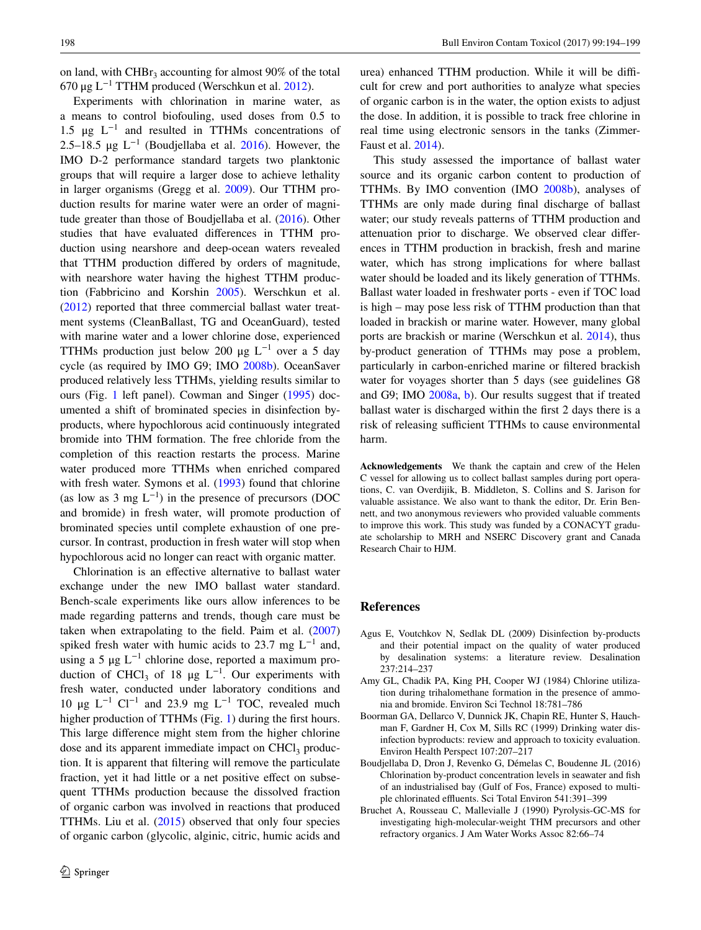on land, with  $CHBr<sub>3</sub>$  accounting for almost 90% of the total 670 μg L<sup>-1</sup> TTHM produced (Werschkun et al. [2012](#page-5-1)).

Experiments with chlorination in marine water, as a means to control biofouling, used doses from 0.5 to 1.5  $\mu$ g  $L^{-1}$  and resulted in TTHMs concentrations of 2.5–18.5  $\mu$ g L<sup>-1</sup> (Boudjellaba et al. [2016\)](#page-4-4). However, the IMO D-2 performance standard targets two planktonic groups that will require a larger dose to achieve lethality in larger organisms (Gregg et al. [2009](#page-5-18)). Our TTHM production results for marine water were an order of magnitude greater than those of Boudjellaba et al. [\(2016](#page-4-4)). Other studies that have evaluated differences in TTHM production using nearshore and deep-ocean waters revealed that TTHM production differed by orders of magnitude, with nearshore water having the highest TTHM production (Fabbricino and Korshin [2005\)](#page-5-19). Werschkun et al. [\(2012](#page-5-1)) reported that three commercial ballast water treatment systems (CleanBallast, TG and OceanGuard), tested with marine water and a lower chlorine dose, experienced TTHMs production just below 200  $\mu$ g L<sup>-1</sup> over a 5 day cycle (as required by IMO G9; IMO [2008b\)](#page-5-20). OceanSaver produced relatively less TTHMs, yielding results similar to ours (Fig. [1](#page-3-0) left panel). Cowman and Singer [\(1995](#page-5-21)) documented a shift of brominated species in disinfection byproducts, where hypochlorous acid continuously integrated bromide into THM formation. The free chloride from the completion of this reaction restarts the process. Marine water produced more TTHMs when enriched compared with fresh water. Symons et al. [\(1993](#page-5-22)) found that chlorine (as low as 3 mg  $L^{-1}$ ) in the presence of precursors (DOC and bromide) in fresh water, will promote production of brominated species until complete exhaustion of one precursor. In contrast, production in fresh water will stop when hypochlorous acid no longer can react with organic matter.

Chlorination is an effective alternative to ballast water exchange under the new IMO ballast water standard. Bench-scale experiments like ours allow inferences to be made regarding patterns and trends, though care must be taken when extrapolating to the field. Paim et al. ([2007\)](#page-5-23) spiked fresh water with humic acids to 23.7 mg  $L^{-1}$  and, using a 5  $\mu$ g L<sup>-1</sup> chlorine dose, reported a maximum production of CHCl<sub>3</sub> of 18  $\mu$ g L<sup>-1</sup>. Our experiments with fresh water, conducted under laboratory conditions and 10 μg  $L^{-1}$  Cl<sup>-1</sup> and 23.9 mg  $L^{-1}$  TOC, revealed much higher production of TTHMs (Fig. [1](#page-3-0)) during the first hours. This large difference might stem from the higher chlorine dose and its apparent immediate impact on  $CHCl<sub>3</sub>$  production. It is apparent that filtering will remove the particulate fraction, yet it had little or a net positive effect on subsequent TTHMs production because the dissolved fraction of organic carbon was involved in reactions that produced TTHMs. Liu et al.  $(2015)$  $(2015)$  observed that only four species of organic carbon (glycolic, alginic, citric, humic acids and urea) enhanced TTHM production. While it will be difficult for crew and port authorities to analyze what species of organic carbon is in the water, the option exists to adjust the dose. In addition, it is possible to track free chlorine in real time using electronic sensors in the tanks (Zimmer-Faust et al. [2014\)](#page-5-24).

This study assessed the importance of ballast water source and its organic carbon content to production of TTHMs. By IMO convention (IMO [2008b](#page-5-20)), analyses of TTHMs are only made during final discharge of ballast water; our study reveals patterns of TTHM production and attenuation prior to discharge. We observed clear differences in TTHM production in brackish, fresh and marine water, which has strong implications for where ballast water should be loaded and its likely generation of TTHMs. Ballast water loaded in freshwater ports - even if TOC load is high – may pose less risk of TTHM production than that loaded in brackish or marine water. However, many global ports are brackish or marine (Werschkun et al. [2014\)](#page-5-25), thus by-product generation of TTHMs may pose a problem, particularly in carbon-enriched marine or filtered brackish water for voyages shorter than 5 days (see guidelines G8 and G9; IMO [2008a,](#page-5-9) [b\)](#page-5-20). Our results suggest that if treated ballast water is discharged within the first 2 days there is a risk of releasing sufficient TTHMs to cause environmental harm.

**Acknowledgements** We thank the captain and crew of the Helen C vessel for allowing us to collect ballast samples during port operations, C. van Overdijik, B. Middleton, S. Collins and S. Jarison for valuable assistance. We also want to thank the editor, Dr. Erin Bennett, and two anonymous reviewers who provided valuable comments to improve this work. This study was funded by a CONACYT graduate scholarship to MRH and NSERC Discovery grant and Canada Research Chair to HJM.

## **References**

- <span id="page-4-2"></span>Agus E, Voutchkov N, Sedlak DL (2009) Disinfection by-products and their potential impact on the quality of water produced by desalination systems: a literature review. Desalination 237:214–237
- <span id="page-4-3"></span>Amy GL, Chadik PA, King PH, Cooper WJ (1984) Chlorine utilization during trihalomethane formation in the presence of ammonia and bromide. Environ Sci Technol 18:781–786
- <span id="page-4-0"></span>Boorman GA, Dellarco V, Dunnick JK, Chapin RE, Hunter S, Hauchman F, Gardner H, Cox M, Sills RC (1999) Drinking water disinfection byproducts: review and approach to toxicity evaluation. Environ Health Perspect 107:207–217
- <span id="page-4-4"></span>Boudjellaba D, Dron J, Revenko G, Démelas C, Boudenne JL (2016) Chlorination by-product concentration levels in seawater and fish of an industrialised bay (Gulf of Fos, France) exposed to multiple chlorinated effluents. Sci Total Environ 541:391–399
- <span id="page-4-1"></span>Bruchet A, Rousseau C, Mallevialle J (1990) Pyrolysis-GC-MS for investigating high-molecular-weight THM precursors and other refractory organics. J Am Water Works Assoc 82:66–74